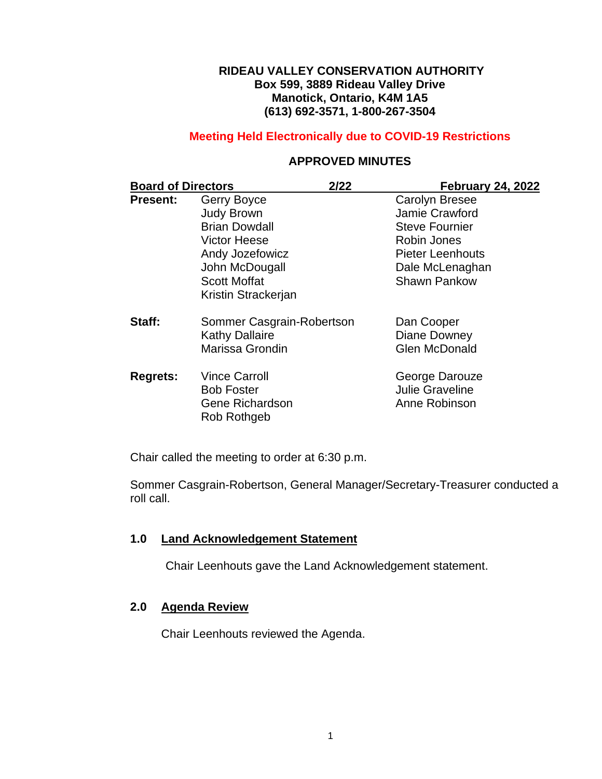### **RIDEAU VALLEY CONSERVATION AUTHORITY Box 599, 3889 Rideau Valley Drive Manotick, Ontario, K4M 1A5 (613) 692-3571, 1-800-267-3504**

## **Meeting Held Electronically due to COVID-19 Restrictions**

## **APPROVED MINUTES**

| <b>Board of Directors</b> |                                       | 2/22 | <b>February 24, 2022</b> |
|---------------------------|---------------------------------------|------|--------------------------|
| <b>Present:</b>           | Gerry Boyce                           |      | <b>Carolyn Bresee</b>    |
|                           | <b>Judy Brown</b>                     |      | Jamie Crawford           |
|                           | <b>Brian Dowdall</b>                  |      | <b>Steve Fournier</b>    |
|                           | <b>Victor Heese</b>                   |      | Robin Jones              |
|                           | Andy Jozefowicz                       |      | <b>Pieter Leenhouts</b>  |
|                           | John McDougall                        |      | Dale McLenaghan          |
|                           | <b>Scott Moffat</b>                   |      | <b>Shawn Pankow</b>      |
|                           | Kristin Strackerjan                   |      |                          |
| Staff:                    | Sommer Casgrain-Robertson             |      | Dan Cooper               |
|                           | <b>Kathy Dallaire</b>                 |      | Diane Downey             |
|                           | Marissa Grondin                       |      | <b>Glen McDonald</b>     |
| <b>Regrets:</b>           | <b>Vince Carroll</b>                  |      | George Darouze           |
|                           | <b>Bob Foster</b>                     |      | <b>Julie Graveline</b>   |
|                           | <b>Gene Richardson</b><br>Rob Rothgeb |      | Anne Robinson            |

Chair called the meeting to order at 6:30 p.m.

Sommer Casgrain-Robertson, General Manager/Secretary-Treasurer conducted a roll call.

### **1.0 Land Acknowledgement Statement**

Chair Leenhouts gave the Land Acknowledgement statement.

# **2.0 Agenda Review**

Chair Leenhouts reviewed the Agenda.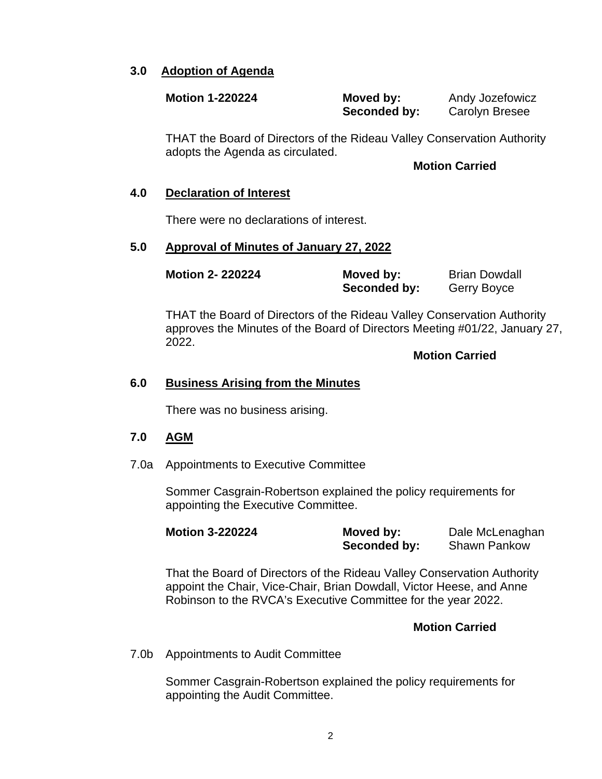### **3.0 Adoption of Agenda**

| <b>Motion 1-220224</b> | Moved by:    | Andy Jozefowicz       |
|------------------------|--------------|-----------------------|
|                        | Seconded by: | <b>Carolyn Bresee</b> |

THAT the Board of Directors of the Rideau Valley Conservation Authority adopts the Agenda as circulated.

#### **Motion Carried**

#### **4.0 Declaration of Interest**

There were no declarations of interest.

#### **5.0 Approval of Minutes of January 27, 2022**

| <b>Motion 2-220224</b> | Moved by:    | <b>Brian Dowdall</b> |
|------------------------|--------------|----------------------|
|                        | Seconded by: | Gerry Boyce          |

THAT the Board of Directors of the Rideau Valley Conservation Authority approves the Minutes of the Board of Directors Meeting #01/22, January 27, 2022.

**Motion Carried**

#### **6.0 Business Arising from the Minutes**

There was no business arising.

#### **7.0 AGM**

7.0a Appointments to Executive Committee

Sommer Casgrain-Robertson explained the policy requirements for appointing the Executive Committee.

| <b>Motion 3-220224</b> | Moved by:    | Dale McLenaghan |
|------------------------|--------------|-----------------|
|                        | Seconded by: | Shawn Pankow    |

That the Board of Directors of the Rideau Valley Conservation Authority appoint the Chair, Vice-Chair, Brian Dowdall, Victor Heese, and Anne Robinson to the RVCA's Executive Committee for the year 2022.

#### **Motion Carried**

7.0b Appointments to Audit Committee

Sommer Casgrain-Robertson explained the policy requirements for appointing the Audit Committee.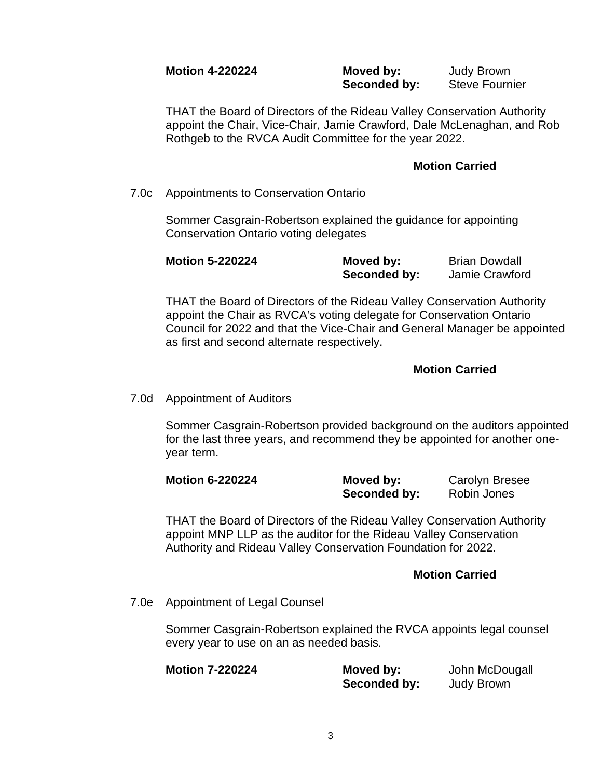#### **Motion 4-220224 Moved by:** Judy Brown **Seconded by:** Steve Fournier

THAT the Board of Directors of the Rideau Valley Conservation Authority appoint the Chair, Vice-Chair, Jamie Crawford, Dale McLenaghan, and Rob Rothgeb to the RVCA Audit Committee for the year 2022.

### **Motion Carried**

7.0c Appointments to Conservation Ontario

Sommer Casgrain-Robertson explained the guidance for appointing Conservation Ontario voting delegates

| <b>Motion 5-220224</b> | Moved by:    | <b>Brian Dowdall</b> |
|------------------------|--------------|----------------------|
|                        | Seconded by: | Jamie Crawford       |

THAT the Board of Directors of the Rideau Valley Conservation Authority appoint the Chair as RVCA's voting delegate for Conservation Ontario Council for 2022 and that the Vice-Chair and General Manager be appointed as first and second alternate respectively.

## **Motion Carried**

7.0d Appointment of Auditors

Sommer Casgrain-Robertson provided background on the auditors appointed for the last three years, and recommend they be appointed for another oneyear term.

| <b>Motion 6-220224</b> | Moved by:    | <b>Carolyn Bresee</b> |
|------------------------|--------------|-----------------------|
|                        | Seconded by: | Robin Jones           |

THAT the Board of Directors of the Rideau Valley Conservation Authority appoint MNP LLP as the auditor for the Rideau Valley Conservation Authority and Rideau Valley Conservation Foundation for 2022.

### **Motion Carried**

7.0e Appointment of Legal Counsel

Sommer Casgrain-Robertson explained the RVCA appoints legal counsel every year to use on an as needed basis.

| <b>Motion 7-220224</b> | Moved by:    | John McDougall    |
|------------------------|--------------|-------------------|
|                        | Seconded by: | <b>Judy Brown</b> |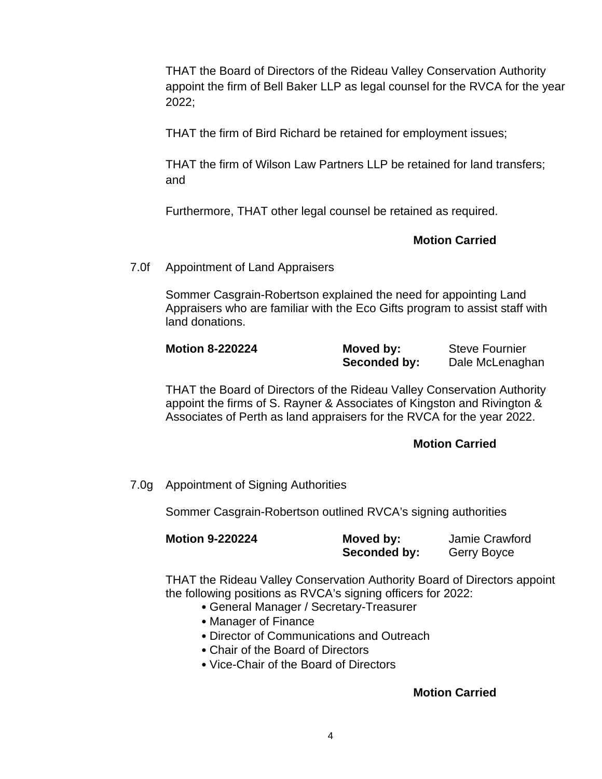THAT the Board of Directors of the Rideau Valley Conservation Authority appoint the firm of Bell Baker LLP as legal counsel for the RVCA for the year 2022;

THAT the firm of Bird Richard be retained for employment issues;

THAT the firm of Wilson Law Partners LLP be retained for land transfers; and

Furthermore, THAT other legal counsel be retained as required.

## **Motion Carried**

#### 7.0f Appointment of Land Appraisers

Sommer Casgrain-Robertson explained the need for appointing Land Appraisers who are familiar with the Eco Gifts program to assist staff with land donations.

| <b>Motion 8-220224</b> | Moved by:    | <b>Steve Fournier</b> |
|------------------------|--------------|-----------------------|
|                        | Seconded by: | Dale McLenaghan       |

THAT the Board of Directors of the Rideau Valley Conservation Authority appoint the firms of S. Rayner & Associates of Kingston and Rivington & Associates of Perth as land appraisers for the RVCA for the year 2022.

### **Motion Carried**

7.0g Appointment of Signing Authorities

Sommer Casgrain-Robertson outlined RVCA's signing authorities

| <b>Motion 9-220224</b> | Moved by:    | Jamie Crawford |
|------------------------|--------------|----------------|
|                        | Seconded by: | Gerry Boyce    |

THAT the Rideau Valley Conservation Authority Board of Directors appoint the following positions as RVCA's signing officers for 2022:

- General Manager / Secretary-Treasurer
- Manager of Finance
- Director of Communications and Outreach
- Chair of the Board of Directors
- Vice-Chair of the Board of Directors

### **Motion Carried**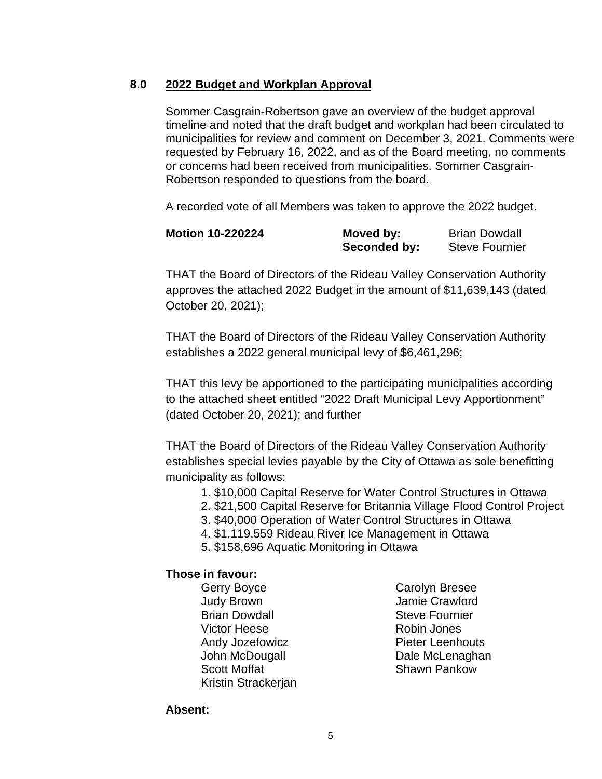## **8.0 2022 Budget and Workplan Approval**

Sommer Casgrain-Robertson gave an overview of the budget approval timeline and noted that the draft budget and workplan had been circulated to municipalities for review and comment on December 3, 2021. Comments were requested by February 16, 2022, and as of the Board meeting, no comments or concerns had been received from municipalities. Sommer Casgrain-Robertson responded to questions from the board.

A recorded vote of all Members was taken to approve the 2022 budget.

| <b>Motion 10-220224</b> | Moved by:    | <b>Brian Dowdall</b>  |
|-------------------------|--------------|-----------------------|
|                         | Seconded by: | <b>Steve Fournier</b> |

THAT the Board of Directors of the Rideau Valley Conservation Authority approves the attached 2022 Budget in the amount of \$11,639,143 (dated October 20, 2021);

THAT the Board of Directors of the Rideau Valley Conservation Authority establishes a 2022 general municipal levy of \$6,461,296;

THAT this levy be apportioned to the participating municipalities according to the attached sheet entitled "2022 Draft Municipal Levy Apportionment" (dated October 20, 2021); and further

THAT the Board of Directors of the Rideau Valley Conservation Authority establishes special levies payable by the City of Ottawa as sole benefitting municipality as follows:

- 1. \$10,000 Capital Reserve for Water Control Structures in Ottawa
- 2. \$21,500 Capital Reserve for Britannia Village Flood Control Project
- 3. \$40,000 Operation of Water Control Structures in Ottawa
- 4. \$1,119,559 Rideau River Ice Management in Ottawa
- 5. \$158,696 Aquatic Monitoring in Ottawa

### **Those in favour:**

- Gerry Boyce Carolyn Bresee Judy Brown Jamie Crawford **Brian Dowdall** Steve Fournier Victor Heese **Robin Jones** Andy Jozefowicz **Pieter Leenhouts** John McDougall **Dale McLenaghan** Scott Moffat **Shawn Pankow** Kristin Strackerjan
	-

**Absent:**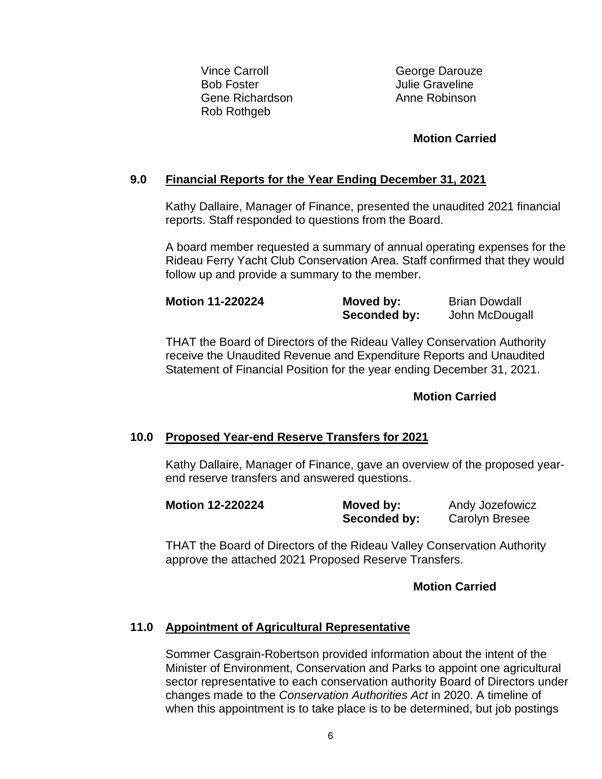Vince Carroll **George Darouze** Bob Foster<br>
Gene Richardson<br>
Gene Richardson<br>
Anne Robinson Gene Richardson Rob Rothgeb

## **Motion Carried**

## **9.0 Financial Reports for the Year Ending December 31, 2021**

Kathy Dallaire, Manager of Finance, presented the unaudited 2021 financial reports. Staff responded to questions from the Board.

A board member requested a summary of annual operating expenses for the Rideau Ferry Yacht Club Conservation Area. Staff confirmed that they would follow up and provide a summary to the member.

| <b>Motion 11-220224</b> | Moved by:    | <b>Brian Dowdall</b> |
|-------------------------|--------------|----------------------|
|                         | Seconded by: | John McDougall       |

THAT the Board of Directors of the Rideau Valley Conservation Authority receive the Unaudited Revenue and Expenditure Reports and Unaudited Statement of Financial Position for the year ending December 31, 2021.

## **Motion Carried**

### **10.0 Proposed Year-end Reserve Transfers for 2021**

Kathy Dallaire, Manager of Finance, gave an overview of the proposed yearend reserve transfers and answered questions.

| <b>Motion 12-220224</b> | Moved by:    | Andy Jozefowicz       |
|-------------------------|--------------|-----------------------|
|                         | Seconded by: | <b>Carolyn Bresee</b> |

THAT the Board of Directors of the Rideau Valley Conservation Authority approve the attached 2021 Proposed Reserve Transfers.

## **Motion Carried**

# **11.0 Appointment of Agricultural Representative**

Sommer Casgrain-Robertson provided information about the intent of the Minister of Environment, Conservation and Parks to appoint one agricultural sector representative to each conservation authority Board of Directors under changes made to the *Conservation Authorities Act* in 2020. A timeline of when this appointment is to take place is to be determined, but job postings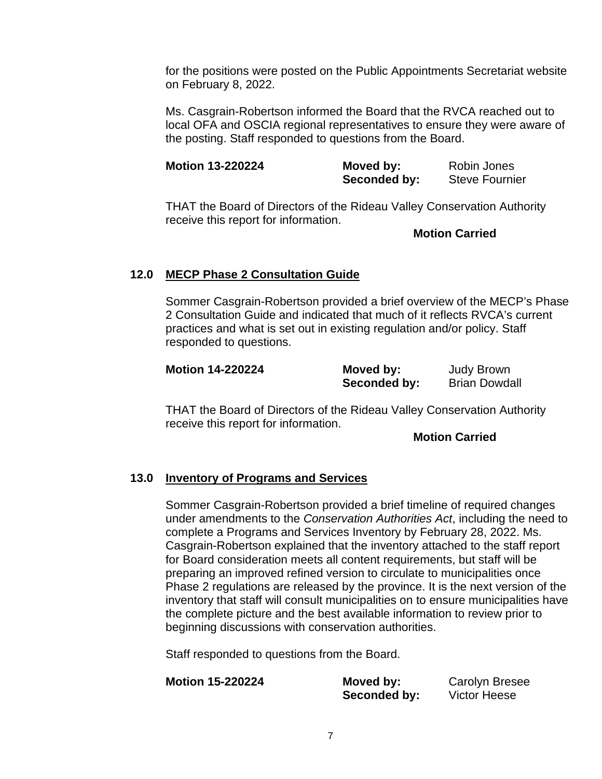for the positions were posted on the Public Appointments Secretariat website on February 8, 2022.

Ms. Casgrain-Robertson informed the Board that the RVCA reached out to local OFA and OSCIA regional representatives to ensure they were aware of the posting. Staff responded to questions from the Board.

| <b>Motion 13-220224</b> | Moved by:    | Robin Jones           |
|-------------------------|--------------|-----------------------|
|                         | Seconded by: | <b>Steve Fournier</b> |

THAT the Board of Directors of the Rideau Valley Conservation Authority receive this report for information.

**Motion Carried**

## **12.0 MECP Phase 2 Consultation Guide**

Sommer Casgrain-Robertson provided a brief overview of the MECP's Phase 2 Consultation Guide and indicated that much of it reflects RVCA's current practices and what is set out in existing regulation and/or policy. Staff responded to questions.

| <b>Motion 14-220224</b> | Moved by:    | <b>Judy Brown</b>    |
|-------------------------|--------------|----------------------|
|                         | Seconded by: | <b>Brian Dowdall</b> |

THAT the Board of Directors of the Rideau Valley Conservation Authority receive this report for information.

**Motion Carried**

# **13.0 Inventory of Programs and Services**

Sommer Casgrain-Robertson provided a brief timeline of required changes under amendments to the *Conservation Authorities Act*, including the need to complete a Programs and Services Inventory by February 28, 2022. Ms. Casgrain-Robertson explained that the inventory attached to the staff report for Board consideration meets all content requirements, but staff will be preparing an improved refined version to circulate to municipalities once Phase 2 regulations are released by the province. It is the next version of the inventory that staff will consult municipalities on to ensure municipalities have the complete picture and the best available information to review prior to beginning discussions with conservation authorities.

Staff responded to questions from the Board.

| <b>Motion 15-220224</b> | Moved by:    | <b>Carolyn Bresee</b> |
|-------------------------|--------------|-----------------------|
|                         | Seconded by: | <b>Victor Heese</b>   |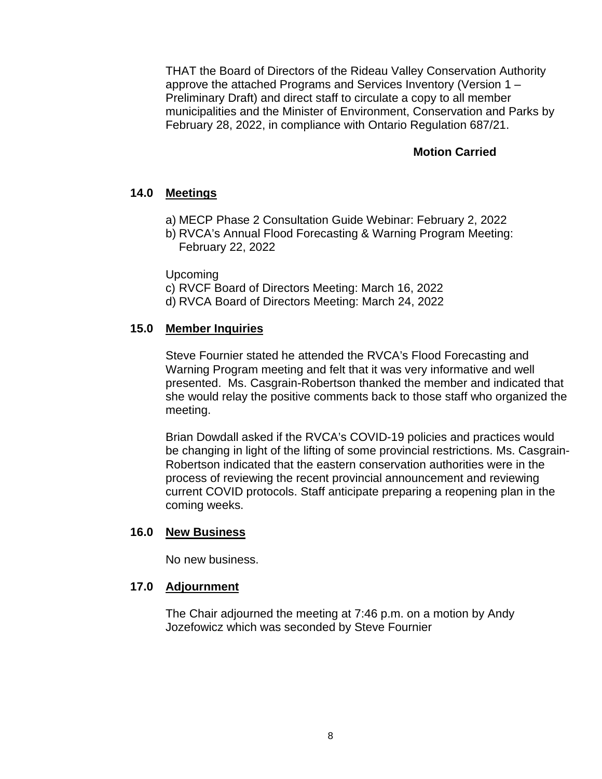THAT the Board of Directors of the Rideau Valley Conservation Authority approve the attached Programs and Services Inventory (Version 1 – Preliminary Draft) and direct staff to circulate a copy to all member municipalities and the Minister of Environment, Conservation and Parks by February 28, 2022, in compliance with Ontario Regulation 687/21.

#### **Motion Carried**

### **14.0 Meetings**

- a) MECP Phase 2 Consultation Guide Webinar: February 2, 2022
- b) RVCA's Annual Flood Forecasting & Warning Program Meeting: February 22, 2022

Upcoming

- c) RVCF Board of Directors Meeting: March 16, 2022
- d) RVCA Board of Directors Meeting: March 24, 2022

#### **15.0 Member Inquiries**

Steve Fournier stated he attended the RVCA's Flood Forecasting and Warning Program meeting and felt that it was very informative and well presented. Ms. Casgrain-Robertson thanked the member and indicated that she would relay the positive comments back to those staff who organized the meeting.

Brian Dowdall asked if the RVCA's COVID-19 policies and practices would be changing in light of the lifting of some provincial restrictions. Ms. Casgrain-Robertson indicated that the eastern conservation authorities were in the process of reviewing the recent provincial announcement and reviewing current COVID protocols. Staff anticipate preparing a reopening plan in the coming weeks.

#### **16.0 New Business**

No new business.

#### **17.0 Adjournment**

The Chair adjourned the meeting at 7:46 p.m. on a motion by Andy Jozefowicz which was seconded by Steve Fournier